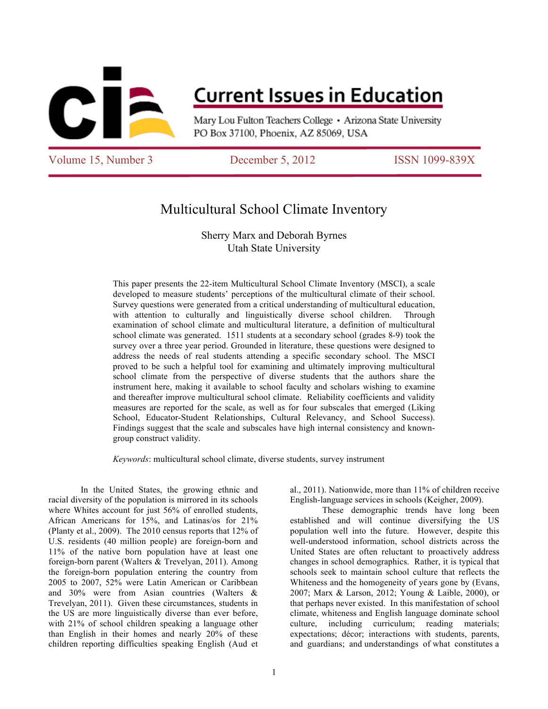

# **Current Issues in Education**

Mary Lou Fulton Teachers College • Arizona State University PO Box 37100, Phoenix, AZ 85069, USA

Volume 15, Number 3 December 5, 2012 ISSN 1099-839X

## Multicultural School Climate Inventory

Sherry Marx and Deborah Byrnes Utah State University

This paper presents the 22-item Multicultural School Climate Inventory (MSCI), a scale developed to measure students' perceptions of the multicultural climate of their school. Survey questions were generated from a critical understanding of multicultural education, with attention to culturally and linguistically diverse school children. Through examination of school climate and multicultural literature, a definition of multicultural school climate was generated. 1511 students at a secondary school (grades 8-9) took the survey over a three year period. Grounded in literature, these questions were designed to address the needs of real students attending a specific secondary school. The MSCI proved to be such a helpful tool for examining and ultimately improving multicultural school climate from the perspective of diverse students that the authors share the instrument here, making it available to school faculty and scholars wishing to examine and thereafter improve multicultural school climate. Reliability coefficients and validity measures are reported for the scale, as well as for four subscales that emerged (Liking School, Educator-Student Relationships, Cultural Relevancy, and School Success). Findings suggest that the scale and subscales have high internal consistency and knowngroup construct validity.

*Keywords*: multicultural school climate, diverse students, survey instrument

In the United States, the growing ethnic and racial diversity of the population is mirrored in its schools where Whites account for just 56% of enrolled students, African Americans for 15%, and Latinas/os for 21% (Planty et al., 2009). The 2010 census reports that 12% of U.S. residents (40 million people) are foreign-born and 11% of the native born population have at least one foreign-born parent (Walters & Trevelyan, 2011). Among the foreign-born population entering the country from 2005 to 2007, 52% were Latin American or Caribbean and 30% were from Asian countries (Walters & Trevelyan, 2011). Given these circumstances, students in the US are more linguistically diverse than ever before, with 21% of school children speaking a language other than English in their homes and nearly 20% of these children reporting difficulties speaking English (Aud et

al., 2011). Nationwide, more than 11% of children receive English-language services in schools (Keigher, 2009).

These demographic trends have long been established and will continue diversifying the US population well into the future. However, despite this well-understood information, school districts across the United States are often reluctant to proactively address changes in school demographics. Rather, it is typical that schools seek to maintain school culture that reflects the Whiteness and the homogeneity of years gone by (Evans, 2007; Marx & Larson, 2012; Young & Laible, 2000), or that perhaps never existed. In this manifestation of school climate, whiteness and English language dominate school culture, including curriculum; reading materials; expectations; décor; interactions with students, parents, and guardians; and understandings of what constitutes a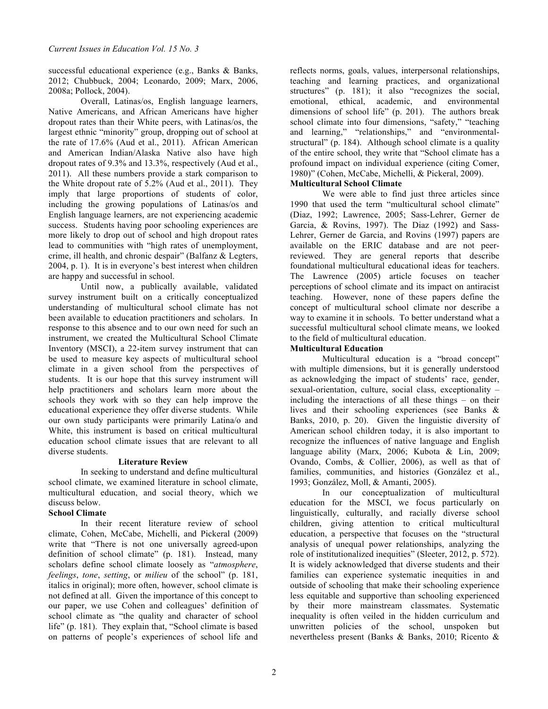successful educational experience (e.g., Banks & Banks, 2012; Chubbuck, 2004; Leonardo, 2009; Marx, 2006, 2008a; Pollock, 2004).

Overall, Latinas/os, English language learners, Native Americans, and African Americans have higher dropout rates than their White peers, with Latinas/os, the largest ethnic "minority" group, dropping out of school at the rate of 17.6% (Aud et al., 2011). African American and American Indian/Alaska Native also have high dropout rates of 9.3% and 13.3%, respectively (Aud et al., 2011). All these numbers provide a stark comparison to the White dropout rate of 5.2% (Aud et al., 2011). They imply that large proportions of students of color, including the growing populations of Latinas/os and English language learners, are not experiencing academic success. Students having poor schooling experiences are more likely to drop out of school and high dropout rates lead to communities with "high rates of unemployment, crime, ill health, and chronic despair" (Balfanz & Legters, 2004, p. 1). It is in everyone's best interest when children are happy and successful in school.

Until now, a publically available, validated survey instrument built on a critically conceptualized understanding of multicultural school climate has not been available to education practitioners and scholars. In response to this absence and to our own need for such an instrument, we created the Multicultural School Climate Inventory (MSCI), a 22-item survey instrument that can be used to measure key aspects of multicultural school climate in a given school from the perspectives of students. It is our hope that this survey instrument will help practitioners and scholars learn more about the schools they work with so they can help improve the educational experience they offer diverse students. While our own study participants were primarily Latina/o and White, this instrument is based on critical multicultural education school climate issues that are relevant to all diverse students.

## **Literature Review**

In seeking to understand and define multicultural school climate, we examined literature in school climate, multicultural education, and social theory, which we discuss below.

## **School Climate**

In their recent literature review of school climate, Cohen, McCabe, Michelli, and Pickeral (2009) write that "There is not one universally agreed-upon definition of school climate" (p. 181). Instead, many scholars define school climate loosely as "*atmosphere*, *feelings*, *tone*, *setting*, or *milieu* of the school" (p. 181, italics in original); more often, however, school climate is not defined at all. Given the importance of this concept to our paper, we use Cohen and colleagues' definition of school climate as "the quality and character of school life" (p. 181). They explain that, "School climate is based on patterns of people's experiences of school life and

reflects norms, goals, values, interpersonal relationships, teaching and learning practices, and organizational structures" (p. 181); it also "recognizes the social, emotional, ethical, academic, and environmental dimensions of school life" (p. 201). The authors break school climate into four dimensions, "safety," "teaching and learning," "relationships," and "environmentalstructural" (p. 184). Although school climate is a quality of the entire school, they write that "School climate has a profound impact on individual experience (citing Comer, 1980)" (Cohen, McCabe, Michelli, & Pickeral, 2009).

## **Multicultural School Climate**

We were able to find just three articles since 1990 that used the term "multicultural school climate" (Diaz, 1992; Lawrence, 2005; Sass-Lehrer, Gerner de Garcia, & Rovins, 1997). The Diaz (1992) and Sass-Lehrer, Gerner de Garcia, and Rovins (1997) papers are available on the ERIC database and are not peerreviewed. They are general reports that describe foundational multicultural educational ideas for teachers. The Lawrence (2005) article focuses on teacher perceptions of school climate and its impact on antiracist teaching. However, none of these papers define the concept of multicultural school climate nor describe a way to examine it in schools. To better understand what a successful multicultural school climate means, we looked to the field of multicultural education.

## **Multicultural Education**

Multicultural education is a "broad concept" with multiple dimensions, but it is generally understood as acknowledging the impact of students' race, gender, sexual-orientation, culture, social class, exceptionality – including the interactions of all these things – on their lives and their schooling experiences (see Banks & Banks, 2010, p. 20). Given the linguistic diversity of American school children today, it is also important to recognize the influences of native language and English language ability (Marx, 2006; Kubota & Lin, 2009; Ovando, Combs, & Collier, 2006), as well as that of families, communities, and histories (González et al., 1993; González, Moll, & Amanti, 2005).

In our conceptualization of multicultural education for the MSCI, we focus particularly on linguistically, culturally, and racially diverse school children, giving attention to critical multicultural education, a perspective that focuses on the "structural analysis of unequal power relationships, analyzing the role of institutionalized inequities" (Sleeter, 2012, p. 572). It is widely acknowledged that diverse students and their families can experience systematic inequities in and outside of schooling that make their schooling experience less equitable and supportive than schooling experienced by their more mainstream classmates. Systematic inequality is often veiled in the hidden curriculum and unwritten policies of the school, unspoken but nevertheless present (Banks & Banks, 2010; Ricento &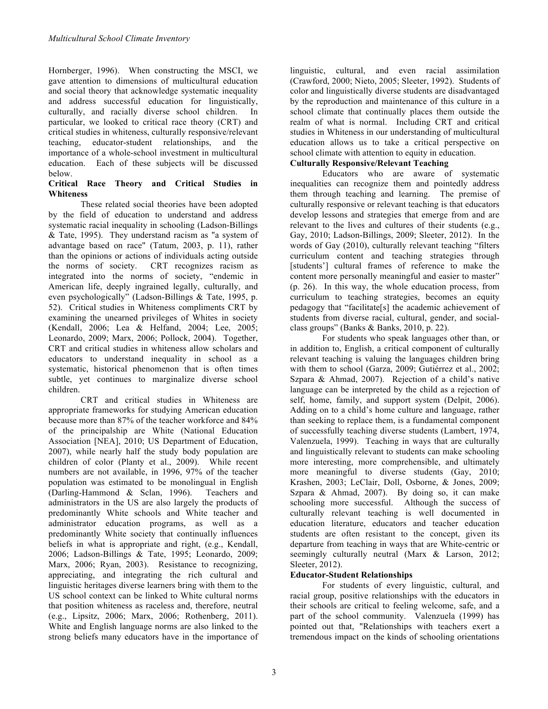Hornberger, 1996). When constructing the MSCI, we gave attention to dimensions of multicultural education and social theory that acknowledge systematic inequality and address successful education for linguistically, culturally, and racially diverse school children. In particular, we looked to critical race theory (CRT) and critical studies in whiteness, culturally responsive/relevant teaching, educator-student relationships, and the importance of a whole-school investment in multicultural education. Each of these subjects will be discussed below.

## **Critical Race Theory and Critical Studies in Whiteness**

These related social theories have been adopted by the field of education to understand and address systematic racial inequality in schooling (Ladson-Billings & Tate, 1995). They understand racism as "a system of advantage based on race" (Tatum, 2003, p. 11), rather than the opinions or actions of individuals acting outside the norms of society. CRT recognizes racism as integrated into the norms of society, "endemic in American life, deeply ingrained legally, culturally, and even psychologically" (Ladson-Billings & Tate, 1995, p. 52). Critical studies in Whiteness compliments CRT by examining the unearned privileges of Whites in society (Kendall, 2006; Lea & Helfand, 2004; Lee, 2005; Leonardo, 2009; Marx, 2006; Pollock, 2004). Together, CRT and critical studies in whiteness allow scholars and educators to understand inequality in school as a systematic, historical phenomenon that is often times subtle, yet continues to marginalize diverse school children.

CRT and critical studies in Whiteness are appropriate frameworks for studying American education because more than 87% of the teacher workforce and 84% of the principalship are White (National Education Association [NEA], 2010; US Department of Education, 2007), while nearly half the study body population are children of color (Planty et al., 2009). While recent numbers are not available, in 1996, 97% of the teacher population was estimated to be monolingual in English (Darling-Hammond & Sclan, 1996). Teachers and administrators in the US are also largely the products of predominantly White schools and White teacher and administrator education programs, as well as a predominantly White society that continually influences beliefs in what is appropriate and right, (e.g., Kendall, 2006; Ladson-Billings & Tate, 1995; Leonardo, 2009; Marx, 2006; Ryan, 2003). Resistance to recognizing, appreciating, and integrating the rich cultural and linguistic heritages diverse learners bring with them to the US school context can be linked to White cultural norms that position whiteness as raceless and, therefore, neutral (e.g., Lipsitz, 2006; Marx, 2006; Rothenberg, 2011). White and English language norms are also linked to the strong beliefs many educators have in the importance of linguistic, cultural, and even racial assimilation (Crawford, 2000; Nieto, 2005; Sleeter, 1992). Students of color and linguistically diverse students are disadvantaged by the reproduction and maintenance of this culture in a school climate that continually places them outside the realm of what is normal. Including CRT and critical studies in Whiteness in our understanding of multicultural education allows us to take a critical perspective on school climate with attention to equity in education.

## **Culturally Responsive/Relevant Teaching**

Educators who are aware of systematic inequalities can recognize them and pointedly address them through teaching and learning. The premise of culturally responsive or relevant teaching is that educators develop lessons and strategies that emerge from and are relevant to the lives and cultures of their students (e.g., Gay, 2010; Ladson-Billings, 2009; Sleeter, 2012). In the words of Gay (2010), culturally relevant teaching "filters curriculum content and teaching strategies through [students'] cultural frames of reference to make the content more personally meaningful and easier to master" (p. 26). In this way, the whole education process, from curriculum to teaching strategies, becomes an equity pedagogy that "facilitate[s] the academic achievement of students from diverse racial, cultural, gender, and socialclass groups" (Banks & Banks, 2010, p. 22).

For students who speak languages other than, or in addition to, English, a critical component of culturally relevant teaching is valuing the languages children bring with them to school (Garza, 2009; Gutiérrez et al., 2002; Szpara & Ahmad, 2007). Rejection of a child's native language can be interpreted by the child as a rejection of self, home, family, and support system (Delpit, 2006). Adding on to a child's home culture and language, rather than seeking to replace them, is a fundamental component of successfully teaching diverse students (Lambert, 1974, Valenzuela, 1999). Teaching in ways that are culturally and linguistically relevant to students can make schooling more interesting, more comprehensible, and ultimately more meaningful to diverse students (Gay, 2010; Krashen, 2003; LeClair, Doll, Osborne, & Jones, 2009; Szpara & Ahmad, 2007). By doing so, it can make schooling more successful. Although the success of culturally relevant teaching is well documented in education literature, educators and teacher education students are often resistant to the concept, given its departure from teaching in ways that are White-centric or seemingly culturally neutral (Marx & Larson, 2012; Sleeter, 2012).

## **Educator-Student Relationships**

For students of every linguistic, cultural, and racial group, positive relationships with the educators in their schools are critical to feeling welcome, safe, and a part of the school community. Valenzuela (1999) has pointed out that, "Relationships with teachers exert a tremendous impact on the kinds of schooling orientations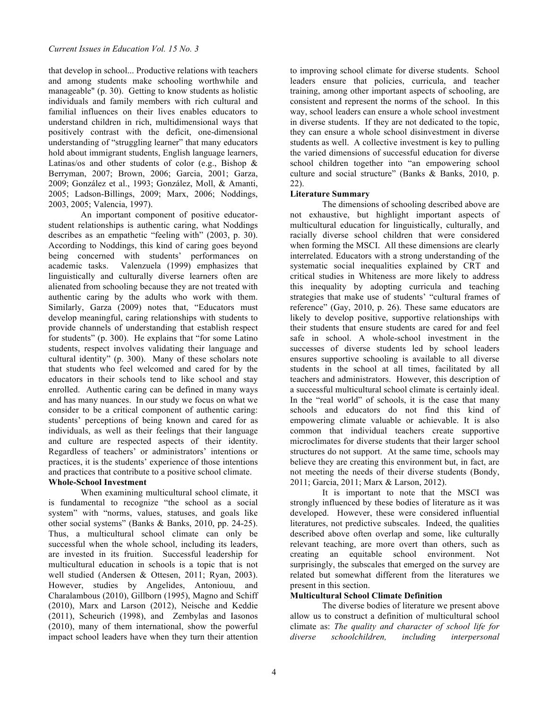that develop in school... Productive relations with teachers and among students make schooling worthwhile and manageable" (p. 30). Getting to know students as holistic individuals and family members with rich cultural and familial influences on their lives enables educators to understand children in rich, multidimensional ways that positively contrast with the deficit, one-dimensional understanding of "struggling learner" that many educators hold about immigrant students, English language learners, Latinas/os and other students of color (e.g., Bishop  $\&$ Berryman, 2007; Brown, 2006; Garcia, 2001; Garza, 2009; González et al., 1993; González, Moll, & Amanti, 2005; Ladson-Billings, 2009; Marx, 2006; Noddings, 2003, 2005; Valencia, 1997).

An important component of positive educatorstudent relationships is authentic caring, what Noddings describes as an empathetic "feeling with" (2003, p. 30). According to Noddings, this kind of caring goes beyond being concerned with students' performances on academic tasks. Valenzuela (1999) emphasizes that linguistically and culturally diverse learners often are alienated from schooling because they are not treated with authentic caring by the adults who work with them. Similarly, Garza (2009) notes that, "Educators must develop meaningful, caring relationships with students to provide channels of understanding that establish respect for students" (p. 300). He explains that "for some Latino students, respect involves validating their language and cultural identity" (p. 300). Many of these scholars note that students who feel welcomed and cared for by the educators in their schools tend to like school and stay enrolled. Authentic caring can be defined in many ways and has many nuances. In our study we focus on what we consider to be a critical component of authentic caring: students' perceptions of being known and cared for as individuals, as well as their feelings that their language and culture are respected aspects of their identity. Regardless of teachers' or administrators' intentions or practices, it is the students' experience of those intentions and practices that contribute to a positive school climate.

## **Whole-School Investment**

When examining multicultural school climate, it is fundamental to recognize "the school as a social system" with "norms, values, statuses, and goals like other social systems" (Banks & Banks, 2010, pp. 24-25). Thus, a multicultural school climate can only be successful when the whole school, including its leaders, are invested in its fruition. Successful leadership for multicultural education in schools is a topic that is not well studied (Andersen & Ottesen, 2011; Ryan, 2003). However, studies by Angelides, Antoniouu, and Charalambous (2010), Gillborn (1995), Magno and Schiff (2010), Marx and Larson (2012), Neische and Keddie (2011), Scheurich (1998), and Zembylas and Iasonos (2010), many of them international, show the powerful impact school leaders have when they turn their attention to improving school climate for diverse students. School leaders ensure that policies, curricula, and teacher training, among other important aspects of schooling, are consistent and represent the norms of the school. In this way, school leaders can ensure a whole school investment in diverse students. If they are not dedicated to the topic, they can ensure a whole school disinvestment in diverse students as well. A collective investment is key to pulling the varied dimensions of successful education for diverse school children together into "an empowering school culture and social structure" (Banks & Banks, 2010, p. 22).

## **Literature Summary**

The dimensions of schooling described above are not exhaustive, but highlight important aspects of multicultural education for linguistically, culturally, and racially diverse school children that were considered when forming the MSCI. All these dimensions are clearly interrelated. Educators with a strong understanding of the systematic social inequalities explained by CRT and critical studies in Whiteness are more likely to address this inequality by adopting curricula and teaching strategies that make use of students' "cultural frames of reference" (Gay, 2010, p. 26). These same educators are likely to develop positive, supportive relationships with their students that ensure students are cared for and feel safe in school. A whole-school investment in the successes of diverse students led by school leaders ensures supportive schooling is available to all diverse students in the school at all times, facilitated by all teachers and administrators. However, this description of a successful multicultural school climate is certainly ideal. In the "real world" of schools, it is the case that many schools and educators do not find this kind of empowering climate valuable or achievable. It is also common that individual teachers create supportive microclimates for diverse students that their larger school structures do not support. At the same time, schools may believe they are creating this environment but, in fact, are not meeting the needs of their diverse students (Bondy, 2011; Garcia, 2011; Marx & Larson, 2012).

It is important to note that the MSCI was strongly influenced by these bodies of literature as it was developed. However, these were considered influential literatures, not predictive subscales. Indeed, the qualities described above often overlap and some, like culturally relevant teaching, are more overt than others, such as creating an equitable school environment. Not surprisingly, the subscales that emerged on the survey are related but somewhat different from the literatures we present in this section.

## **Multicultural School Climate Definition**

The diverse bodies of literature we present above allow us to construct a definition of multicultural school climate as: *The quality and character of school life for diverse schoolchildren, including interpersonal*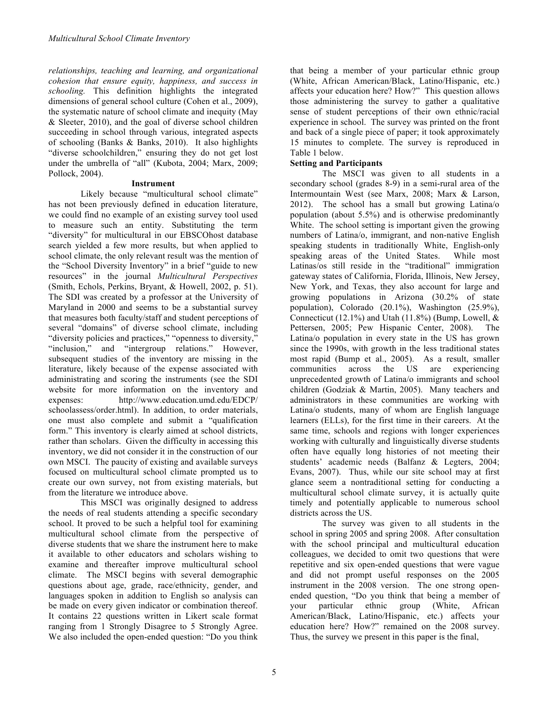*relationships, teaching and learning, and organizational cohesion that ensure equity, happiness, and success in schooling.* This definition highlights the integrated dimensions of general school culture (Cohen et al., 2009), the systematic nature of school climate and inequity (May & Sleeter, 2010), and the goal of diverse school children succeeding in school through various, integrated aspects of schooling (Banks & Banks, 2010). It also highlights "diverse schoolchildren," ensuring they do not get lost under the umbrella of "all" (Kubota, 2004; Marx, 2009; Pollock, 2004).

### **Instrument**

Likely because "multicultural school climate" has not been previously defined in education literature, we could find no example of an existing survey tool used to measure such an entity. Substituting the term "diversity" for multicultural in our EBSCOhost database search yielded a few more results, but when applied to school climate, the only relevant result was the mention of the "School Diversity Inventory" in a brief "guide to new resources" in the journal *Multicultural Perspectives* (Smith, Echols, Perkins, Bryant, & Howell, 2002, p. 51). The SDI was created by a professor at the University of Maryland in 2000 and seems to be a substantial survey that measures both faculty/staff and student perceptions of several "domains" of diverse school climate, including "diversity policies and practices," "openness to diversity," "inclusion," and "intergroup relations." However, subsequent studies of the inventory are missing in the literature, likely because of the expense associated with administrating and scoring the instruments (see the SDI website for more information on the inventory and expenses: http://www.education.umd.edu/EDCP/ schoolassess/order.html). In addition, to order materials, one must also complete and submit a "qualification form." This inventory is clearly aimed at school districts, rather than scholars. Given the difficulty in accessing this inventory, we did not consider it in the construction of our own MSCI. The paucity of existing and available surveys focused on multicultural school climate prompted us to create our own survey, not from existing materials, but from the literature we introduce above.

This MSCI was originally designed to address the needs of real students attending a specific secondary school. It proved to be such a helpful tool for examining multicultural school climate from the perspective of diverse students that we share the instrument here to make it available to other educators and scholars wishing to examine and thereafter improve multicultural school climate. The MSCI begins with several demographic questions about age, grade, race/ethnicity, gender, and languages spoken in addition to English so analysis can be made on every given indicator or combination thereof. It contains 22 questions written in Likert scale format ranging from 1 Strongly Disagree to 5 Strongly Agree. We also included the open-ended question: "Do you think

that being a member of your particular ethnic group (White, African American/Black, Latino/Hispanic, etc.) affects your education here? How?" This question allows those administering the survey to gather a qualitative sense of student perceptions of their own ethnic/racial experience in school. The survey was printed on the front and back of a single piece of paper; it took approximately 15 minutes to complete. The survey is reproduced in Table 1 below.

## **Setting and Participants**

The MSCI was given to all students in a secondary school (grades 8-9) in a semi-rural area of the Intermountain West (see Marx, 2008; Marx & Larson, 2012). The school has a small but growing Latina/o population (about 5.5%) and is otherwise predominantly White. The school setting is important given the growing numbers of Latina/o, immigrant, and non-native English speaking students in traditionally White, English-only speaking areas of the United States. While most Latinas/os still reside in the "traditional" immigration gateway states of California, Florida, Illinois, New Jersey, New York, and Texas, they also account for large and growing populations in Arizona (30.2% of state population), Colorado (20.1%), Washington (25.9%), Connecticut (12.1%) and Utah (11.8%) (Bump, Lowell,  $\&$ Pettersen, 2005; Pew Hispanic Center, 2008). The Latina/o population in every state in the US has grown since the 1990s, with growth in the less traditional states most rapid (Bump et al., 2005). As a result, smaller communities across the US are experiencing unprecedented growth of Latina/o immigrants and school children (Godziak & Martin, 2005). Many teachers and administrators in these communities are working with Latina/o students, many of whom are English language learners (ELLs), for the first time in their careers. At the same time, schools and regions with longer experiences working with culturally and linguistically diverse students often have equally long histories of not meeting their students' academic needs (Balfanz & Legters, 2004; Evans, 2007). Thus, while our site school may at first glance seem a nontraditional setting for conducting a multicultural school climate survey, it is actually quite timely and potentially applicable to numerous school districts across the US.

The survey was given to all students in the school in spring 2005 and spring 2008. After consultation with the school principal and multicultural education colleagues, we decided to omit two questions that were repetitive and six open-ended questions that were vague and did not prompt useful responses on the 2005 instrument in the 2008 version. The one strong openended question, "Do you think that being a member of your particular ethnic group (White, African American/Black, Latino/Hispanic, etc.) affects your education here? How?" remained on the 2008 survey. Thus, the survey we present in this paper is the final,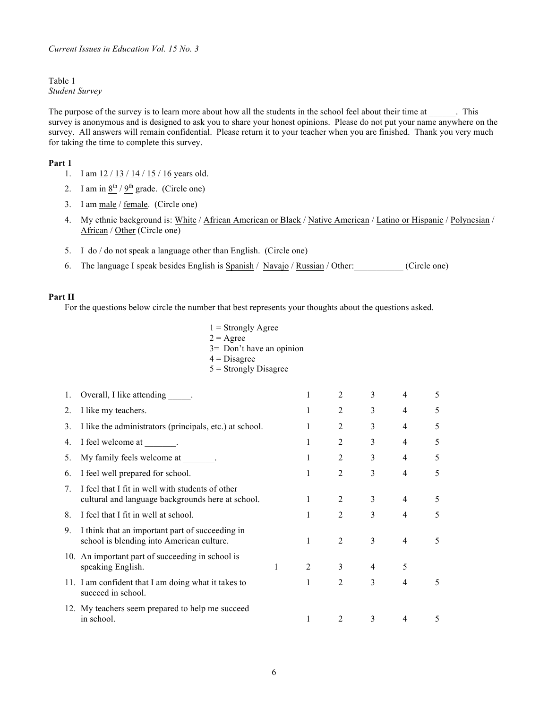## Table 1 *Student Survey*

The purpose of the survey is to learn more about how all the students in the school feel about their time at \_\_\_\_\_\_. This survey is anonymous and is designed to ask you to share your honest opinions. Please do not put your name anywhere on the survey. All answers will remain confidential. Please return it to your teacher when you are finished. Thank you very much for taking the time to complete this survey.

## **Part 1**

- 1. I am  $12 / 13 / 14 / 15 / 16$  years old.
- 2. I am in  $8^{th}$  /  $9^{th}$  grade. (Circle one)
- 3. I am male / female. (Circle one)
- 4. My ethnic background is: White / African American or Black / Native American / Latino or Hispanic / Polynesian / African / Other (Circle one)
- 5. I do  $/$  do not speak a language other than English. (Circle one)
- 6. The language I speak besides English is Spanish / Navajo / Russian / Other:\_\_\_\_\_\_\_\_\_\_\_ (Circle one)

#### **Part II**

For the questions below circle the number that best represents your thoughts about the questions asked.

| $1 =$ Strongly Agree     |
|--------------------------|
| $2 = \text{Agree}$       |
| 3= Don't have an opinion |
| $4 = Disagree$           |
| $5 =$ Strongly Disagree  |

| 1. | Overall, I like attending ______.                                                                     |   |   | $\overline{2}$ | 3              | 4              | 5 |
|----|-------------------------------------------------------------------------------------------------------|---|---|----------------|----------------|----------------|---|
| 2. | I like my teachers.                                                                                   |   | 1 | $\overline{2}$ | 3              | 4              | 5 |
| 3. | I like the administrators (principals, etc.) at school.                                               |   | 1 | $\overline{2}$ | 3              | 4              | 5 |
| 4. | I feel welcome at ________.                                                                           |   | 1 | $\overline{2}$ | 3              | $\overline{4}$ | 5 |
| 5. | My family feels welcome at _______.                                                                   |   | 1 | $\overline{2}$ | 3              | 4              | 5 |
| 6. | I feel well prepared for school.                                                                      |   | 1 | $\overline{2}$ | 3              | 4              | 5 |
| 7  | I feel that I fit in well with students of other<br>cultural and language backgrounds here at school. |   |   | $\overline{2}$ | 3              | 4              | 5 |
| 8. | I feel that I fit in well at school.                                                                  |   |   | $\overline{2}$ | 3              | $\overline{4}$ | 5 |
| 9. | I think that an important part of succeeding in<br>school is blending into American culture.          |   | 1 | $\overline{2}$ | 3              | 4              | 5 |
|    | 10. An important part of succeeding in school is<br>speaking English.                                 | 1 | 2 | 3              | $\overline{4}$ | 5              |   |
|    | 11. I am confident that I am doing what it takes to<br>succeed in school.                             |   |   | 2              | 3              | 4              | 5 |
|    | 12. My teachers seem prepared to help me succeed<br>in school.                                        |   |   | $\overline{2}$ | 3              | 4              | 5 |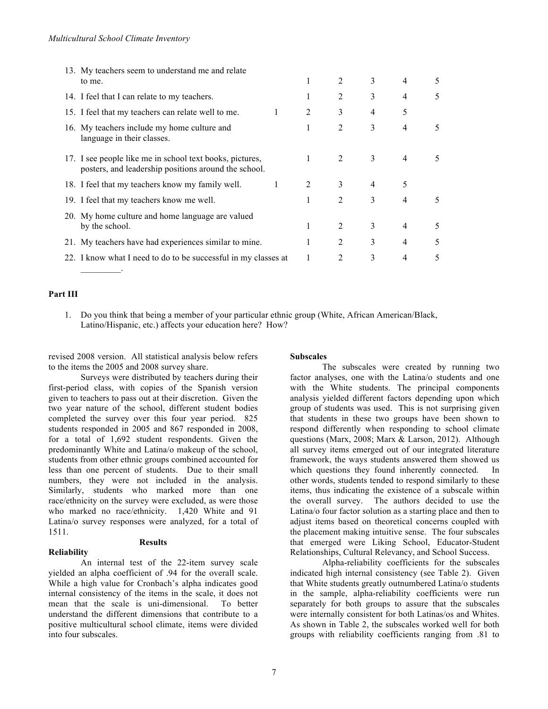| 13. My teachers seem to understand me and relate                                                                 |              |   |                |   |                |   |
|------------------------------------------------------------------------------------------------------------------|--------------|---|----------------|---|----------------|---|
| to me.                                                                                                           |              | 1 | 2              | 3 | 4              | 5 |
| 14. I feel that I can relate to my teachers.                                                                     |              | 1 | 2              | 3 | 4              | 5 |
| 15. I feel that my teachers can relate well to me.                                                               | $\mathbf{1}$ | 2 | 3              | 4 | 5              |   |
| 16. My teachers include my home culture and<br>language in their classes.                                        |              | 1 | $\overline{2}$ | 3 | $\overline{4}$ | 5 |
| 17. I see people like me in school text books, pictures,<br>posters, and leadership positions around the school. |              | 1 | 2              | 3 | 4              | 5 |
| 18. I feel that my teachers know my family well.                                                                 |              | 2 | 3              | 4 | 5              |   |
| 19. I feel that my teachers know me well.                                                                        |              | 1 | $\overline{2}$ | 3 | 4              | 5 |
| 20. My home culture and home language are valued                                                                 |              |   |                |   |                |   |
| by the school.                                                                                                   |              | 1 | 2              | 3 | 4              | 5 |
| 21. My teachers have had experiences similar to mine.                                                            |              | 1 | $\overline{2}$ | 3 | $\overline{4}$ | 5 |
| 22. I know what I need to do to be successful in my classes at                                                   |              | 1 | 2              | 3 | 4              | 5 |
|                                                                                                                  |              |   |                |   |                |   |

#### **Part III**

1. Do you think that being a member of your particular ethnic group (White, African American/Black, Latino/Hispanic, etc.) affects your education here? How?

revised 2008 version. All statistical analysis below refers to the items the 2005 and 2008 survey share.

#### **Subscales**

Surveys were distributed by teachers during their first-period class, with copies of the Spanish version given to teachers to pass out at their discretion. Given the two year nature of the school, different student bodies completed the survey over this four year period. 825 students responded in 2005 and 867 responded in 2008, for a total of 1,692 student respondents. Given the predominantly White and Latina/o makeup of the school, students from other ethnic groups combined accounted for less than one percent of students. Due to their small numbers, they were not included in the analysis. Similarly, students who marked more than one race/ethnicity on the survey were excluded, as were those who marked no race/ethnicity. 1,420 White and 91 Latina/o survey responses were analyzed, for a total of 1511.

#### **Reliability**

#### **Results**

An internal test of the 22-item survey scale yielded an alpha coefficient of .94 for the overall scale. While a high value for Cronbach's alpha indicates good internal consistency of the items in the scale, it does not mean that the scale is uni-dimensional. To better understand the different dimensions that contribute to a positive multicultural school climate, items were divided into four subscales.

The subscales were created by running two factor analyses, one with the Latina/o students and one with the White students. The principal components analysis yielded different factors depending upon which group of students was used. This is not surprising given that students in these two groups have been shown to respond differently when responding to school climate questions (Marx, 2008; Marx & Larson, 2012). Although all survey items emerged out of our integrated literature framework, the ways students answered them showed us which questions they found inherently connected. In other words, students tended to respond similarly to these items, thus indicating the existence of a subscale within the overall survey. The authors decided to use the Latina/o four factor solution as a starting place and then to adjust items based on theoretical concerns coupled with the placement making intuitive sense. The four subscales that emerged were Liking School, Educator-Student Relationships, Cultural Relevancy, and School Success.

Alpha-reliability coefficients for the subscales indicated high internal consistency (see Table 2). Given that White students greatly outnumbered Latina/o students in the sample, alpha-reliability coefficients were run separately for both groups to assure that the subscales were internally consistent for both Latinas/os and Whites. As shown in Table 2, the subscales worked well for both groups with reliability coefficients ranging from .81 to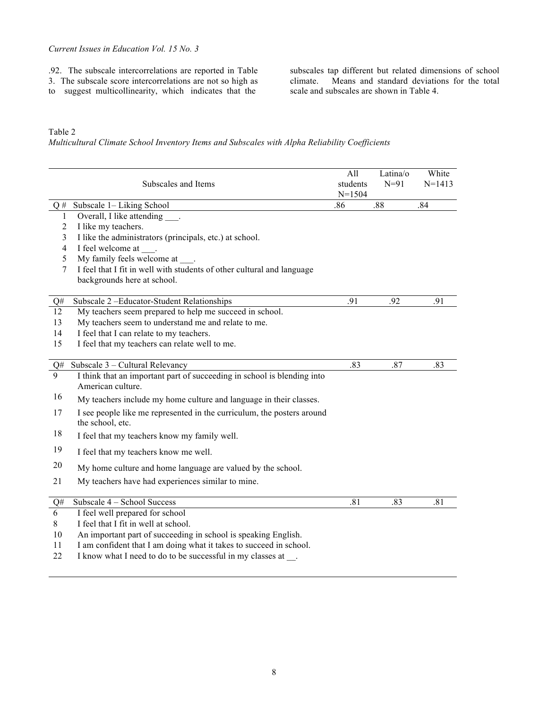.92. The subscale intercorrelations are reported in Table

3. The subscale score intercorrelations are not so high as

to suggest multicollinearity, which indicates that the

subscales tap different but related dimensions of school climate. Means and standard deviations for the total scale and subscales are shown in Table 4.

Table 2

*Multicultural Climate School Inventory Items and Subscales with Alpha Reliability Coefficients*

|              | Subscales and Items                                                                          | All<br>students<br>$N = 1504$ | Latina/o<br>$N=91$ | White<br>$N = 1413$ |
|--------------|----------------------------------------------------------------------------------------------|-------------------------------|--------------------|---------------------|
|              | $Q#$ Subscale 1– Liking School                                                               | .86                           | .88                | .84                 |
| $\mathbf{1}$ | Overall, I like attending .                                                                  |                               |                    |                     |
| 2            | I like my teachers.                                                                          |                               |                    |                     |
| 3            | I like the administrators (principals, etc.) at school.                                      |                               |                    |                     |
| 4            | I feel welcome at .                                                                          |                               |                    |                     |
| 5            | My family feels welcome at                                                                   |                               |                    |                     |
| 7            | I feel that I fit in well with students of other cultural and language                       |                               |                    |                     |
|              | backgrounds here at school.                                                                  |                               |                    |                     |
| Q#           | Subscale 2-Educator-Student Relationships                                                    | .91                           | .92                | .91                 |
| 12           | My teachers seem prepared to help me succeed in school.                                      |                               |                    |                     |
| 13           | My teachers seem to understand me and relate to me.                                          |                               |                    |                     |
| 14           | I feel that I can relate to my teachers.                                                     |                               |                    |                     |
| 15           | I feel that my teachers can relate well to me.                                               |                               |                    |                     |
|              |                                                                                              |                               |                    |                     |
| Q#           | Subscale 3 - Cultural Relevancy                                                              | .83                           | .87                | .83                 |
| 9            | I think that an important part of succeeding in school is blending into<br>American culture. |                               |                    |                     |
| 16           | My teachers include my home culture and language in their classes.                           |                               |                    |                     |
| 17           | I see people like me represented in the curriculum, the posters around                       |                               |                    |                     |
|              | the school, etc.                                                                             |                               |                    |                     |
| 18           | I feel that my teachers know my family well.                                                 |                               |                    |                     |
| 19           | I feel that my teachers know me well.                                                        |                               |                    |                     |
| 20           | My home culture and home language are valued by the school.                                  |                               |                    |                     |
| 21           | My teachers have had experiences similar to mine.                                            |                               |                    |                     |
|              |                                                                                              |                               |                    |                     |
| Q#           | Subscale 4 – School Success                                                                  | .81                           | .83                | .81                 |
| 6            | I feel well prepared for school                                                              |                               |                    |                     |
| 8            | I feel that I fit in well at school.                                                         |                               |                    |                     |
| 10           | An important part of succeeding in school is speaking English.                               |                               |                    |                     |
| 11           | I am confident that I am doing what it takes to succeed in school.                           |                               |                    |                     |

22 I know what I need to do to be successful in my classes at \_\_\_.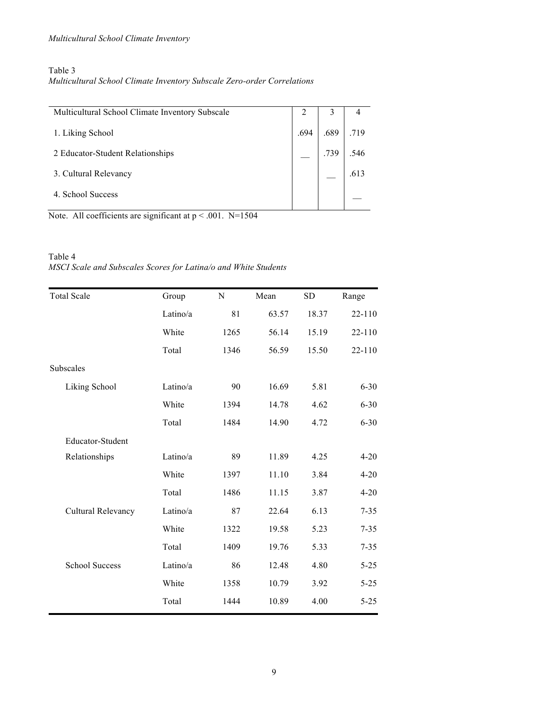## Table 3

*Multicultural School Climate Inventory Subscale Zero-order Correlations*

| Multicultural School Climate Inventory Subscale | ∠    | 3    |      |
|-------------------------------------------------|------|------|------|
| 1. Liking School                                | .694 | .689 | .719 |
| 2 Educator-Student Relationships                |      | .739 | .546 |
| 3. Cultural Relevancy                           |      |      | .613 |
| 4. School Success                               |      |      |      |

Note. All coefficients are significant at  $p < .001$ . N=1504

## Table 4 *MSCI Scale and Subscales Scores for Latina/o and White Students*

| <b>Total Scale</b>    | Group    | N    | Mean  | <b>SD</b> | Range    |
|-----------------------|----------|------|-------|-----------|----------|
|                       | Latino/a | 81   | 63.57 | 18.37     | 22-110   |
|                       | White    | 1265 | 56.14 | 15.19     | 22-110   |
|                       | Total    | 1346 | 56.59 | 15.50     | 22-110   |
| Subscales             |          |      |       |           |          |
| Liking School         | Latino/a | 90   | 16.69 | 5.81      | $6 - 30$ |
|                       | White    | 1394 | 14.78 | 4.62      | $6 - 30$ |
|                       | Total    | 1484 | 14.90 | 4.72      | $6 - 30$ |
| Educator-Student      |          |      |       |           |          |
| Relationships         | Latino/a | 89   | 11.89 | 4.25      | $4 - 20$ |
|                       | White    | 1397 | 11.10 | 3.84      | $4 - 20$ |
|                       | Total    | 1486 | 11.15 | 3.87      | $4 - 20$ |
| Cultural Relevancy    | Latino/a | 87   | 22.64 | 6.13      | $7 - 35$ |
|                       | White    | 1322 | 19.58 | 5.23      | $7 - 35$ |
|                       | Total    | 1409 | 19.76 | 5.33      | $7 - 35$ |
| <b>School Success</b> | Latino/a | 86   | 12.48 | 4.80      | $5 - 25$ |
|                       | White    | 1358 | 10.79 | 3.92      | $5 - 25$ |
|                       | Total    | 1444 | 10.89 | 4.00      | $5 - 25$ |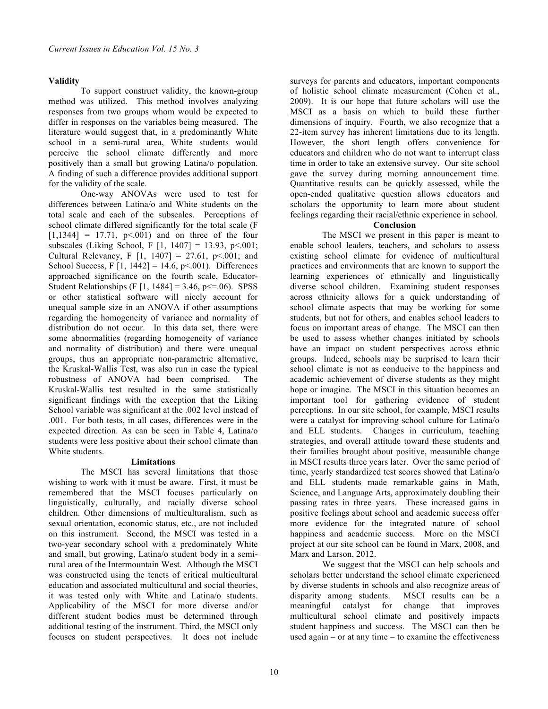## **Validity**

To support construct validity, the known-group method was utilized. This method involves analyzing responses from two groups whom would be expected to differ in responses on the variables being measured. The literature would suggest that, in a predominantly White school in a semi-rural area, White students would perceive the school climate differently and more positively than a small but growing Latina/o population. A finding of such a difference provides additional support for the validity of the scale.

One-way ANOVAs were used to test for differences between Latina/o and White students on the total scale and each of the subscales. Perceptions of school climate differed significantly for the total scale (F  $[1,1344] = 17.71$ ,  $p<0.001$  and on three of the four subscales (Liking School, F  $[1, 1407] = 13.93$ , p<.001; Cultural Relevancy, F  $[1, 1407] = 27.61$ , p<.001; and School Success, F  $[1, 1442] = 14.6$ , p<.001). Differences approached significance on the fourth scale, Educator-Student Relationships (F  $[1, 1484] = 3.46$ , p $\leq 0.06$ ). SPSS or other statistical software will nicely account for unequal sample size in an ANOVA if other assumptions regarding the homogeneity of variance and normality of distribution do not occur. In this data set, there were some abnormalities (regarding homogeneity of variance and normality of distribution) and there were unequal groups, thus an appropriate non-parametric alternative, the Kruskal-Wallis Test, was also run in case the typical robustness of ANOVA had been comprised. The Kruskal-Wallis test resulted in the same statistically significant findings with the exception that the Liking School variable was significant at the .002 level instead of .001. For both tests, in all cases, differences were in the expected direction. As can be seen in Table 4, Latina/o students were less positive about their school climate than White students.

## **Limitations**

The MSCI has several limitations that those wishing to work with it must be aware. First, it must be remembered that the MSCI focuses particularly on linguistically, culturally, and racially diverse school children. Other dimensions of multiculturalism, such as sexual orientation, economic status, etc., are not included on this instrument. Second, the MSCI was tested in a two-year secondary school with a predominately White and small, but growing, Latina/o student body in a semirural area of the Intermountain West. Although the MSCI was constructed using the tenets of critical multicultural education and associated multicultural and social theories, it was tested only with White and Latina/o students. Applicability of the MSCI for more diverse and/or different student bodies must be determined through additional testing of the instrument. Third, the MSCI only focuses on student perspectives. It does not include

surveys for parents and educators, important components of holistic school climate measurement (Cohen et al., 2009). It is our hope that future scholars will use the MSCI as a basis on which to build these further dimensions of inquiry. Fourth, we also recognize that a 22-item survey has inherent limitations due to its length. However, the short length offers convenience for educators and children who do not want to interrupt class time in order to take an extensive survey. Our site school gave the survey during morning announcement time. Quantitative results can be quickly assessed, while the open-ended qualitative question allows educators and scholars the opportunity to learn more about student feelings regarding their racial/ethnic experience in school.

#### **Conclusion**

The MSCI we present in this paper is meant to enable school leaders, teachers, and scholars to assess existing school climate for evidence of multicultural practices and environments that are known to support the learning experiences of ethnically and linguistically diverse school children. Examining student responses across ethnicity allows for a quick understanding of school climate aspects that may be working for some students, but not for others, and enables school leaders to focus on important areas of change. The MSCI can then be used to assess whether changes initiated by schools have an impact on student perspectives across ethnic groups. Indeed, schools may be surprised to learn their school climate is not as conducive to the happiness and academic achievement of diverse students as they might hope or imagine. The MSCI in this situation becomes an important tool for gathering evidence of student perceptions. In our site school, for example, MSCI results were a catalyst for improving school culture for Latina/o and ELL students. Changes in curriculum, teaching strategies, and overall attitude toward these students and their families brought about positive, measurable change in MSCI results three years later. Over the same period of time, yearly standardized test scores showed that Latina/o and ELL students made remarkable gains in Math, Science, and Language Arts, approximately doubling their passing rates in three years. These increased gains in positive feelings about school and academic success offer more evidence for the integrated nature of school happiness and academic success. More on the MSCI project at our site school can be found in Marx, 2008, and Marx and Larson, 2012.

We suggest that the MSCI can help schools and scholars better understand the school climate experienced by diverse students in schools and also recognize areas of disparity among students. MSCI results can be a meaningful catalyst for change that improves multicultural school climate and positively impacts student happiness and success. The MSCI can then be used again – or at any time – to examine the effectiveness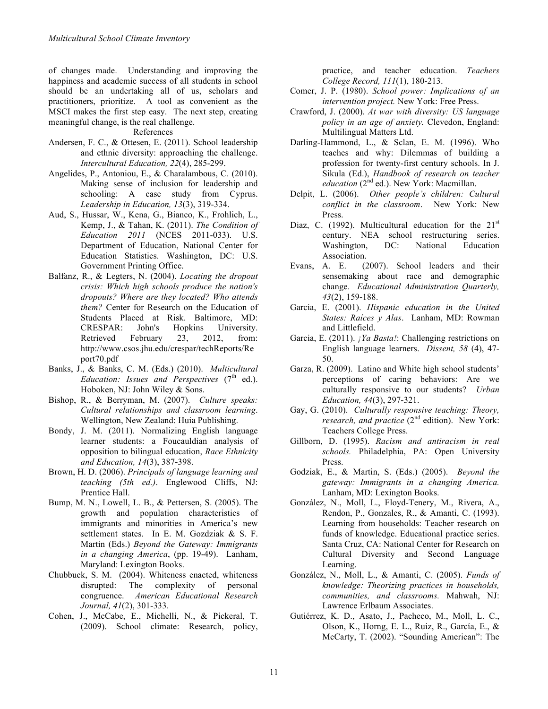of changes made. Understanding and improving the happiness and academic success of all students in school should be an undertaking all of us, scholars and practitioners, prioritize. A tool as convenient as the MSCI makes the first step easy. The next step, creating meaningful change, is the real challenge.

References

- Andersen, F. C., & Ottesen, E. (2011). School leadership and ethnic diversity: approaching the challenge. *Intercultural Education, 22*(4), 285-299.
- Angelides, P., Antoniou, E., & Charalambous, C. (2010). Making sense of inclusion for leadership and schooling: A case study from Cyprus. *Leadership in Education, 13*(3), 319-334.
- Aud, S., Hussar, W., Kena, G., Bianco, K., Frohlich, L., Kemp, J., & Tahan, K. (2011). *The Condition of Education 2011* (NCES 2011-033). U.S. Department of Education, National Center for Education Statistics. Washington, DC: U.S. Government Printing Office.
- Balfanz, R., & Legters, N. (2004). *Locating the dropout crisis: Which high schools produce the nation's dropouts? Where are they located? Who attends them?* Center for Research on the Education of Students Placed at Risk. Baltimore, MD: CRESPAR: John's Hopkins University. Retrieved February 23, 2012, from: http://www.csos.jhu.edu/crespar/techReports/Re port70.pdf
- Banks, J., & Banks, C. M. (Eds.) (2010). *Multicultural Education: Issues and Perspectives* (7<sup>th</sup> ed.). Hoboken, NJ: John Wiley & Sons.
- Bishop, R., & Berryman, M. (2007). *Culture speaks: Cultural relationships and classroom learning*. Wellington, New Zealand: Huia Publishing.
- Bondy, J. M. (2011). Normalizing English language learner students: a Foucauldian analysis of opposition to bilingual education, *Race Ethnicity and Education, 14*(3), 387-398.
- Brown, H. D. (2006). *Principals of language learning and teaching (5th ed.)*. Englewood Cliffs, NJ: Prentice Hall.
- Bump, M. N., Lowell, L. B., & Pettersen, S. (2005). The growth and population characteristics of immigrants and minorities in America's new settlement states. In E. M. Gozdziak & S. F. Martin (Eds.) *Beyond the Gateway: Immigrants in a changing America*, (pp. 19-49). Lanham, Maryland: Lexington Books.
- Chubbuck, S. M. (2004). Whiteness enacted, whiteness disrupted: The complexity of personal congruence. *American Educational Research Journal, 41*(2), 301-333.
- Cohen, J., McCabe, E., Michelli, N., & Pickeral, T. (2009). School climate: Research, policy,

practice, and teacher education. *Teachers College Record, 111*(1), 180-213.

- Comer, J. P. (1980). *School power: Implications of an intervention project.* New York: Free Press.
- Crawford, J. (2000). *At war with diversity: US language policy in an age of anxiety.* Clevedon, England: Multilingual Matters Ltd.
- Darling-Hammond, L., & Sclan, E. M. (1996). Who teaches and why: Dilemmas of building a profession for twenty-first century schools. In J. Sikula (Ed.), *Handbook of research on teacher education* (2<sup>nd</sup> ed.). New York: Macmillan.
- Delpit, L. (2006). *Other people's children: Cultural conflict in the classroom*. New York: New Press.
- Diaz, C. (1992). Multicultural education for the  $21<sup>st</sup>$ century. NEA school restructuring series. Washington, DC: National Education Association.
- Evans, A. E. (2007). School leaders and their sensemaking about race and demographic change. *Educational Administration Quarterly, 43*(2), 159-188.
- Garcia, E. (2001). *Hispanic education in the United States: Raíces y Alas*. Lanham, MD: Rowman and Littlefield.
- Garcia, E. (2011). *¡Ya Basta!*: Challenging restrictions on English language learners. *Dissent, 58* (4), 47- 50.
- Garza, R. (2009). Latino and White high school students' perceptions of caring behaviors: Are we culturally responsive to our students? *Urban Education, 44*(3), 297-321.
- Gay, G. (2010). *Culturally responsive teaching: Theory, research, and practice* (2<sup>nd</sup> edition). New York: Teachers College Press.
- Gillborn, D. (1995). *Racism and antiracism in real schools.* Philadelphia, PA: Open University Press.
- Godziak, E., & Martin, S. (Eds.) (2005). *Beyond the gateway: Immigrants in a changing America.*  Lanham, MD: Lexington Books.
- González, N., Moll, L., Floyd-Tenery, M., Rivera, A., Rendon, P., Gonzales, R., & Amanti, C. (1993). Learning from households: Teacher research on funds of knowledge. Educational practice series. Santa Cruz, CA: National Center for Research on Cultural Diversity and Second Language Learning.
- González, N., Moll, L., & Amanti, C. (2005). *Funds of knowledge: Theorizing practices in households, communities, and classrooms.* Mahwah, NJ: Lawrence Erlbaum Associates.
- Gutiérrez, K. D., Asato, J., Pacheco, M., Moll, L. C., Olson, K., Horng, E. L., Ruiz, R., García, E., & McCarty, T. (2002). "Sounding American": The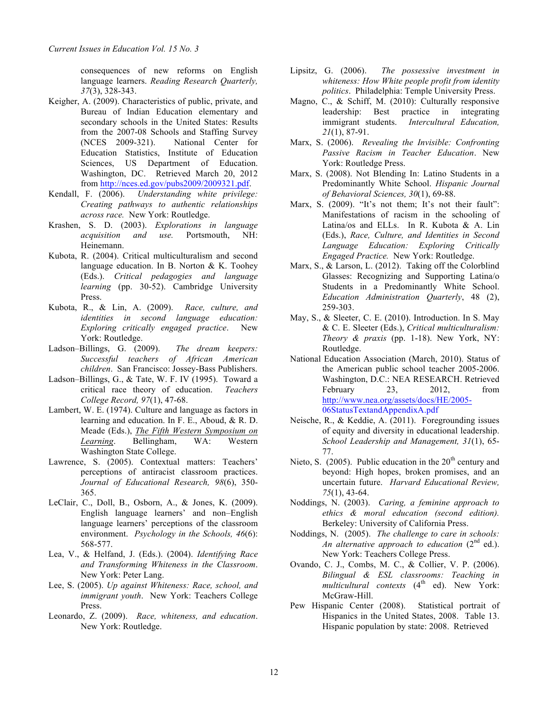consequences of new reforms on English language learners. *Reading Research Quarterly, 37*(3), 328-343.

- Keigher, A. (2009). Characteristics of public, private, and Bureau of Indian Education elementary and secondary schools in the United States: Results from the 2007-08 Schools and Staffing Survey (NCES 2009-321). National Center for Education Statistics, Institute of Education Sciences, US Department of Education. Washington, DC. Retrieved March 20, 2012 from http://nces.ed.gov/pubs2009/2009321.pdf.
- Kendall, F. (2006). *Understanding white privilege: Creating pathways to authentic relationships across race.* New York: Routledge.
- Krashen, S. D. (2003). *Explorations in language acquisition and use.* Portsmouth, NH: Heinemann.
- Kubota, R. (2004). Critical multiculturalism and second language education. In B. Norton & K. Toohey (Eds.). *Critical pedagogies and language learning* (pp. 30-52). Cambridge University Press.
- Kubota, R., & Lin, A. (2009). *Race, culture, and identities in second language education: Exploring critically engaged practice*. New York: Routledge.
- Ladson–Billings, G. (2009). *The dream keepers: Successful teachers of African American children*. San Francisco: Jossey-Bass Publishers.
- Ladson–Billings, G., & Tate, W. F. IV (1995). Toward a critical race theory of education. *Teachers College Record, 97*(1), 47-68.
- Lambert, W. E. (1974). Culture and language as factors in learning and education. In F. E., Aboud, & R. D. Meade (Eds.), *The Fifth Western Symposium on Learning*. Bellingham, WA: Western Washington State College.
- Lawrence, S. (2005). Contextual matters: Teachers' perceptions of antiracist classroom practices. *Journal of Educational Research, 98*(6), 350- 365.
- LeClair, C., Doll, B., Osborn, A., & Jones, K. (2009). English language learners' and non–English language learners' perceptions of the classroom environment. *Psychology in the Schools, 46*(6): 568-577.
- Lea, V., & Helfand, J. (Eds.). (2004). *Identifying Race and Transforming Whiteness in the Classroom*. New York: Peter Lang.
- Lee, S. (2005). *Up against Whiteness: Race, school, and immigrant youth*. New York: Teachers College Press.
- Leonardo, Z. (2009). *Race, whiteness, and education*. New York: Routledge.
- Lipsitz, G. (2006). *The possessive investment in whiteness: How White people profit from identity politics*. Philadelphia: Temple University Press.
- Magno, C., & Schiff, M. (2010): Culturally responsive leadership: Best practice in integrating immigrant students. *Intercultural Education, 21*(1), 87-91.
- Marx, S. (2006). *Revealing the Invisible: Confronting Passive Racism in Teacher Education*. New York: Routledge Press.
- Marx, S. (2008). Not Blending In: Latino Students in a Predominantly White School. *Hispanic Journal of Behavioral Sciences, 30*(1), 69-88.
- Marx, S. (2009). "It's not them; It's not their fault": Manifestations of racism in the schooling of Latina/os and ELLs. In R. Kubota & A. Lin (Eds.), *Race, Culture, and Identities in Second Language Education: Exploring Critically Engaged Practice.* New York: Routledge.
- Marx, S., & Larson, L. (2012). Taking off the Colorblind Glasses: Recognizing and Supporting Latina/o Students in a Predominantly White School. *Education Administration Quarterly*, 48 (2), 259-303.
- May, S., & Sleeter, C. E. (2010). Introduction. In S. May & C. E. Sleeter (Eds.), *Critical multiculturalism: Theory & praxis* (pp. 1-18). New York, NY: Routledge.
- National Education Association (March, 2010). Status of the American public school teacher 2005-2006. Washington, D.C.: NEA RESEARCH. Retrieved February 23, 2012, from http://www.nea.org/assets/docs/HE/2005- 06StatusTextandAppendixA.pdf
- Neische, R., & Keddie, A. (2011). Foregrounding issues of equity and diversity in educational leadership. *School Leadership and Management, 31*(1), 65- 77.
- Nieto, S.  $(2005)$ . Public education in the  $20<sup>th</sup>$  century and beyond: High hopes, broken promises, and an uncertain future. *Harvard Educational Review, 75*(1), 43-64.
- Noddings, N. (2003). *Caring, a feminine approach to ethics & moral education (second edition).* Berkeley: University of California Press.
- Noddings, N. (2005). *The challenge to care in schools: An alternative approach to education* (2<sup>nd</sup> ed.). New York: Teachers College Press.
- Ovando, C. J., Combs, M. C., & Collier, V. P. (2006). *Bilingual & ESL classrooms: Teaching in multicultural contexts* (4<sup>th</sup> ed). New York: McGraw-Hill.
- Pew Hispanic Center (2008). Statistical portrait of Hispanics in the United States, 2008. Table 13. Hispanic population by state: 2008. Retrieved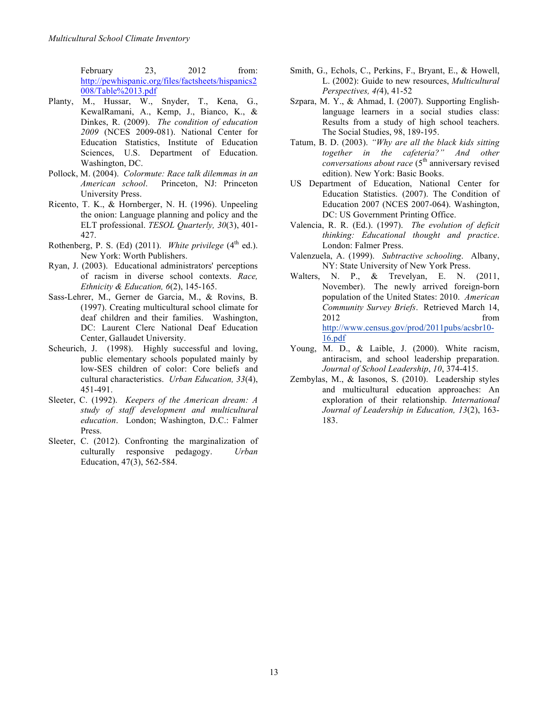February 23, 2012 from: http://pewhispanic.org/files/factsheets/hispanics2 008/Table%2013.pdf

- Planty, M., Hussar, W., Snyder, T., Kena, G., KewalRamani, A., Kemp, J., Bianco, K., & Dinkes, R. (2009). *The condition of education 2009* (NCES 2009-081). National Center for Education Statistics, Institute of Education Sciences, U.S. Department of Education. Washington, DC.
- Pollock, M. (2004). *Colormute: Race talk dilemmas in an American school*. Princeton, NJ: Princeton University Press.
- Ricento, T. K., & Hornberger, N. H. (1996). Unpeeling the onion: Language planning and policy and the ELT professional. *TESOL Quarterly, 30*(3), 401- 427.
- Rothenberg, P. S. (Ed)  $(2011)$ . *White privilege*  $(4<sup>th</sup>$  ed.). New York: Worth Publishers.
- Ryan, J. (2003). Educational administrators' perceptions of racism in diverse school contexts. *Race, Ethnicity & Education, 6*(2), 145-165.
- Sass-Lehrer, M., Gerner de Garcia, M., & Rovins, B. (1997). Creating multicultural school climate for deaf children and their families. Washington, DC: Laurent Clerc National Deaf Education Center, Gallaudet University.
- Scheurich, J. (1998). Highly successful and loving, public elementary schools populated mainly by low-SES children of color: Core beliefs and cultural characteristics. *Urban Education, 33*(4), 451-491.
- Sleeter, C. (1992). *Keepers of the American dream: A study of staff development and multicultural education*. London; Washington, D.C.: Falmer Press.
- Sleeter, C. (2012). Confronting the marginalization of culturally responsive pedagogy. *Urban*  Education, 47(3), 562-584.
- Smith, G., Echols, C., Perkins, F., Bryant, E., & Howell, L. (2002): Guide to new resources, *Multicultural Perspectives, 4(*4), 41-52
- Szpara, M. Y., & Ahmad, I. (2007). Supporting Englishlanguage learners in a social studies class: Results from a study of high school teachers. The Social Studies, 98, 189-195.
- Tatum, B. D. (2003). *"Why are all the black kids sitting together in the cafeteria?" And other conversations about race* (5<sup>th</sup> anniversary revised edition). New York: Basic Books.
- US Department of Education, National Center for Education Statistics. (2007). The Condition of Education 2007 (NCES 2007-064). Washington, DC: US Government Printing Office.
- Valencia, R. R. (Ed.). (1997). *The evolution of deficit thinking: Educational thought and practice*. London: Falmer Press.
- Valenzuela, A. (1999). *Subtractive schooling*. Albany, NY: State University of New York Press.
- Walters, N. P., & Trevelyan, E. N. (2011, November). The newly arrived foreign-born population of the United States: 2010. *American Community Survey Briefs*. Retrieved March 14, 2012 from http://www.census.gov/prod/2011pubs/acsbr10- 16.pdf
- Young, M. D., & Laible, J. (2000). White racism, antiracism, and school leadership preparation. *Journal of School Leadership*, *10*, 374-415.
- Zembylas, M., & Iasonos, S. (2010). Leadership styles and multicultural education approaches: An exploration of their relationship. *International Journal of Leadership in Education, 13*(2), 163- 183.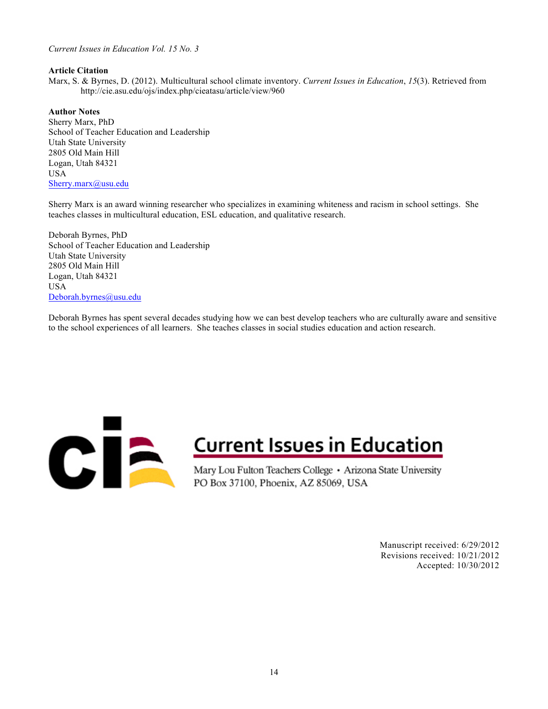## *Current Issues in Education Vol. 15 No. 3*

### **Article Citation**

Marx, S. & Byrnes, D. (2012). Multicultural school climate inventory. *Current Issues in Education*, *15*(3). Retrieved from http://cie.asu.edu/ojs/index.php/cieatasu/article/view/960

## **Author Notes**

Sherry Marx, PhD School of Teacher Education and Leadership Utah State University 2805 Old Main Hill Logan, Utah 84321 USA Sherry.marx@usu.edu

Sherry Marx is an award winning researcher who specializes in examining whiteness and racism in school settings. She teaches classes in multicultural education, ESL education, and qualitative research.

Deborah Byrnes, PhD School of Teacher Education and Leadership Utah State University 2805 Old Main Hill Logan, Utah 84321 USA Deborah.byrnes@usu.edu

Deborah Byrnes has spent several decades studying how we can best develop teachers who are culturally aware and sensitive to the school experiences of all learners. She teaches classes in social studies education and action research.



# **Current Issues in Education**

Mary Lou Fulton Teachers College · Arizona State University PO Box 37100, Phoenix, AZ 85069, USA

> Manuscript received: 6/29/2012 Revisions received: 10/21/2012 Accepted: 10/30/2012